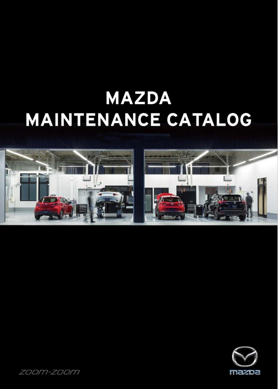# **MAZDA MAINTENANCE CATALOG**





*ZOOM-ZOOM*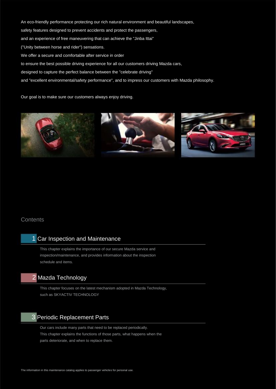An eco-friendly performance protecting our rich natural environment and beautiful landscapes, safety features designed to prevent accidents and protect the passengers, and an experience of free maneuvering that can achieve the "Jinba Ittai" ("Unity between horse and rider") sensations. We offer a secure and comfortable after service in order to ensure the best possible driving experience for all our customers driving Mazda cars, designed to capture the perfect balance between the "celebrate driving"

and "excellent environmental/safety performance", and to impress our customers with Mazda philosophy.

Our goal is to make sure our customers always enjoy driving.



# **Contents**

# 1 Car Inspection and Maintenance

This chapter explains the importance of our secure Mazda service and inspection/maintenance, and provides information about the inspection schedule and items.

# 2 Mazda Technology

This chapter focuses on the latest mechanism adopted in Mazda Technology, such as SKYACTIV TECHNOLOGY

# 3 Periodic Replacement Parts

Our cars include many parts that need to be replaced periodically. This chapter explains the functions of those parts, what happens when the parts deteriorate, and when to replace them.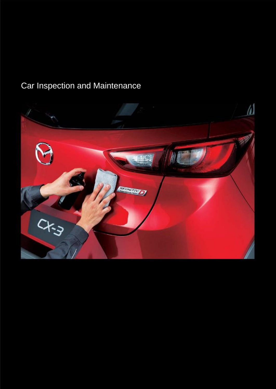# Car Inspection and Maintenance

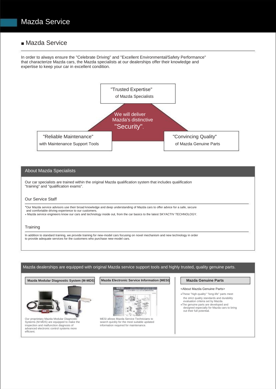# ■ Mazda Service

In order to always ensure the "Celebrate Driving" and "Excellent Environmental/Safety Performance" that characterize Mazda cars, the Mazda specialists at our dealerships offer their knowledge and expertise to keep your car in excellent condition.



### About Mazda Specialists

Our car specialists are trained within the original Mazda qualification system that includes qualification "training" and "qualification exams".

### Our Service Staff

●Our Mazda service advisors use their broad knowledge and deep understanding of Mazda cars to offer advice for a safe, secure and comfortable driving experience to our customers. ● Mazda service engineers know our cars and technology inside out, from the car basics to the latest SKYACTIV TECHNOLOGY.

# **Training**

In addition to standard training, we provide training for new-model cars focusing on novel mechanism and new technology in order to provide adequate services for the customers who purchase new-model cars.

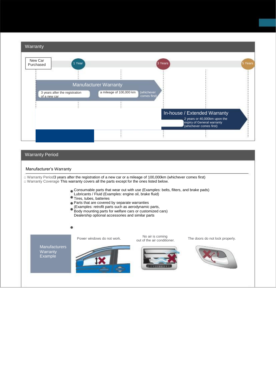| Warranty                     |                                |                         |                             |                                                                                                                       |         |
|------------------------------|--------------------------------|-------------------------|-----------------------------|-----------------------------------------------------------------------------------------------------------------------|---------|
| New Car<br>Purchased         | Year                           |                         | 3 Years                     |                                                                                                                       | 5 Years |
|                              |                                |                         |                             |                                                                                                                       |         |
| <b>Manufacturer Warranty</b> |                                |                         |                             |                                                                                                                       |         |
| of a new car                 | 3 years after the registration | a mileage of 100,000 km | (whichever<br>comes first). |                                                                                                                       |         |
|                              |                                |                         |                             |                                                                                                                       |         |
|                              |                                |                         |                             | In-house / Extended Warranty<br>2 years or 40,000km upon the<br>expiry of General warranty<br>(whichever comes first) |         |
|                              |                                |                         |                             |                                                                                                                       |         |

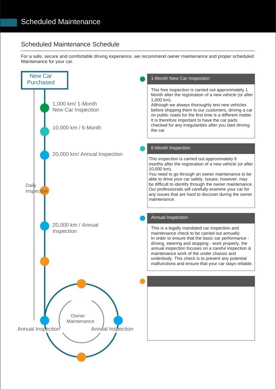# Scheduled Maintenance Schedule

For a safe, secure and comfortable driving experience, we recommend owner maintenance and proper scheduled Maintenance for your car.

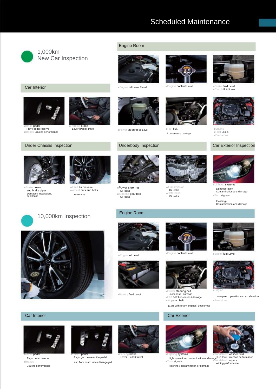# Scheduled Maintenance



### Engine Room







Looseness / damage



Car Interior **According to the Engine of Leaks / level** ■Engine coolant Level ■Engine coolant Level ■Brake fluid Level ■Clutch fluid Level



■Engine ■Fuel Leaks ■Emissions



a systems Light operation / Contamination and damage

■Turn signals Flashing / Contamination and damage



Damage / installation /<br>fluid leaks

■Brake hoses and brake pipes

■Brake pedal Play / pedal reserve ■Brakes Braking performance

10,000km Inspection Engine Room

■Tires Air pressure ■Wheel nuts and bolts Looseness





■Power steering Oil leaks ■Steering gear box Oil leaks



Oil leaks ■Differential Oil leaks





■Engine oil Level



■Battery fluid Level



■Power steering belt Looseness / damage ■Fan belt Looseness / damage ■Air pump belt (Cars with rotary engines) Looseness





Low-speed operation and acceleration ■Emissions

### **Car Interior** Car Interior Car Interior Car Interior Car Interior Car Interior Car Exterior



■Brakes Play / pedal reserve Braking performance



and floor board when disengaged ■Clutch pedal Play / gap between the pedal



brake Lever (Pedal) travel



a systems ■Turn signals Light operation / contamination or damage

Flashing / contamination or damage



■Windshield washer fluid Fluid level, injection performance ■Windshield wipers Wiping performance

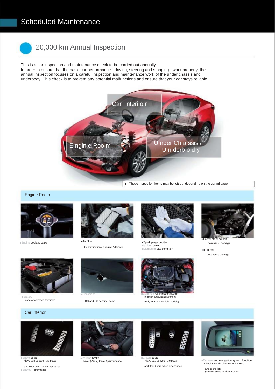# Scheduled Maintenance



# 20,000 km Annual Inspection

This is a car inspection and maintenance check to be carried out annually. In order to ensure that the basic car performance - driving, steering and stopping - work properly, the annual inspection focuses on a careful inspection and maintenance work of the under chassis and underbody. This check is to prevent any potential malfunctions and ensure that your car stays reliable.



■ : These inspection items may be left out depending on the car mileage.

Engine Room





Contamination / clogging / damage



■Spark plug condition ■Ignition **timing**<br>■Distributor **cap condition** 



Looseness / damage

■Fan belt Looseness / damage



■Battery Loose or corroded terminals

and floor board when depressed ■Brakes Performance

■Brake pedal Play / gap between the pedal

### Car Interior



CO and HC density / color



(only for some vehicle models)



Play / gap between the pedal **and navigation system function**<br>Check the field of vision in the front

and to the left (only for some vehicle models)

brake Lever (Pedal) travel / performance





and floor board when disengaged